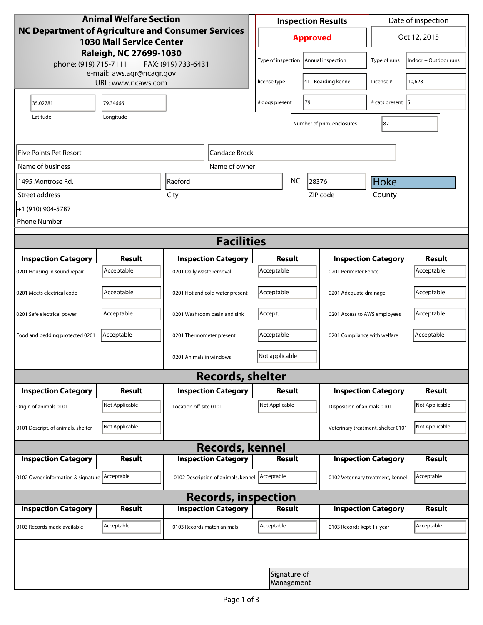| <b>Animal Welfare Section</b><br>NC Department of Agriculture and Consumer Services<br><b>1030 Mail Service Center</b> |                |                                     |                            | <b>Inspection Results</b>  |               |                            | Date of inspection                 |                       |  |
|------------------------------------------------------------------------------------------------------------------------|----------------|-------------------------------------|----------------------------|----------------------------|---------------|----------------------------|------------------------------------|-----------------------|--|
|                                                                                                                        |                |                                     |                            | <b>Approved</b>            |               |                            | Oct 12, 2015                       |                       |  |
| Raleigh, NC 27699-1030<br>phone: (919) 715-7111<br>FAX: (919) 733-6431                                                 |                |                                     |                            | Type of inspection         |               | Annual inspection          | Type of runs                       | Indoor + Outdoor runs |  |
| e-mail: aws.agr@ncagr.gov<br>URL: www.ncaws.com                                                                        |                |                                     |                            | license type               |               | 41 - Boarding kennel       | License #                          | 10,628                |  |
| 35.02781                                                                                                               | 79.34666       |                                     | 79<br># dogs present       |                            |               | # cats present   5         |                                    |                       |  |
| Longitude<br>Latitude                                                                                                  |                |                                     |                            |                            |               | Number of prim. enclosures | 82                                 |                       |  |
| Five Points Pet Resort<br>Candace Brock                                                                                |                |                                     |                            |                            |               |                            |                                    |                       |  |
| Name of business                                                                                                       |                |                                     | Name of owner              |                            |               |                            |                                    |                       |  |
| 1495 Montrose Rd.                                                                                                      |                | Raeford                             |                            |                            | <b>NC</b>     | 28376                      | Hoke                               |                       |  |
| Street address                                                                                                         | City           |                                     |                            |                            |               | ZIP code                   | County                             |                       |  |
| +1 (910) 904-5787                                                                                                      |                |                                     |                            |                            |               |                            |                                    |                       |  |
| <b>Phone Number</b>                                                                                                    |                |                                     |                            |                            |               |                            |                                    |                       |  |
| <b>Facilities</b>                                                                                                      |                |                                     |                            |                            |               |                            |                                    |                       |  |
| <b>Inspection Category</b>                                                                                             | <b>Result</b>  |                                     | <b>Inspection Category</b> | Result                     |               |                            | <b>Inspection Category</b>         |                       |  |
| 0201 Housing in sound repair                                                                                           | Acceptable     | 0201 Daily waste removal            | Acceptable                 |                            |               | 0201 Perimeter Fence       |                                    |                       |  |
| 0201 Meets electrical code                                                                                             | Acceptable     | 0201 Hot and cold water present     | Acceptable                 |                            |               | 0201 Adequate drainage     |                                    |                       |  |
| 0201 Safe electrical power                                                                                             | Acceptable     | 0201 Washroom basin and sink        |                            | Accept.                    |               |                            | 0201 Access to AWS employees       |                       |  |
| Food and bedding protected 0201                                                                                        | Acceptable     | 0201 Thermometer present            |                            | Acceptable                 |               |                            | 0201 Compliance with welfare       |                       |  |
|                                                                                                                        |                | 0201 Animals in windows             |                            | Not applicable             |               |                            |                                    |                       |  |
| <b>Records, shelter</b>                                                                                                |                |                                     |                            |                            |               |                            |                                    |                       |  |
| <b>Inspection Category</b>                                                                                             | Result         |                                     | <b>Inspection Category</b> | Result                     |               |                            | <b>Inspection Category</b>         | <b>Result</b>         |  |
| Origin of animals 0101                                                                                                 | Not Applicable | Location off-site 0101              |                            | Not Applicable             |               |                            | Disposition of animals 0101        |                       |  |
| 0101 Descript. of animals, shelter                                                                                     | Not Applicable |                                     |                            |                            |               |                            | Veterinary treatment, shelter 0101 | Not Applicable        |  |
| <b>Records, kennel</b>                                                                                                 |                |                                     |                            |                            |               |                            |                                    |                       |  |
| <b>Inspection Category</b>                                                                                             | Result         |                                     | <b>Inspection Category</b> |                            | <b>Result</b> |                            | <b>Inspection Category</b>         | Result                |  |
| 0102 Owner information & signature Acceptable                                                                          |                | 0102 Description of animals, kennel |                            | Acceptable                 |               |                            | 0102 Veterinary treatment, kennel  |                       |  |
| <b>Records, inspection</b>                                                                                             |                |                                     |                            |                            |               |                            |                                    |                       |  |
| <b>Inspection Category</b>                                                                                             | <b>Result</b>  |                                     | <b>Inspection Category</b> |                            | Result        |                            | <b>Inspection Category</b>         | <b>Result</b>         |  |
| 0103 Records made available                                                                                            | Acceptable     | 0103 Records match animals          |                            | Acceptable                 |               | 0103 Records kept 1+ year  |                                    | Acceptable            |  |
|                                                                                                                        |                |                                     |                            |                            |               |                            |                                    |                       |  |
|                                                                                                                        |                |                                     |                            | Signature of<br>Management |               |                            |                                    |                       |  |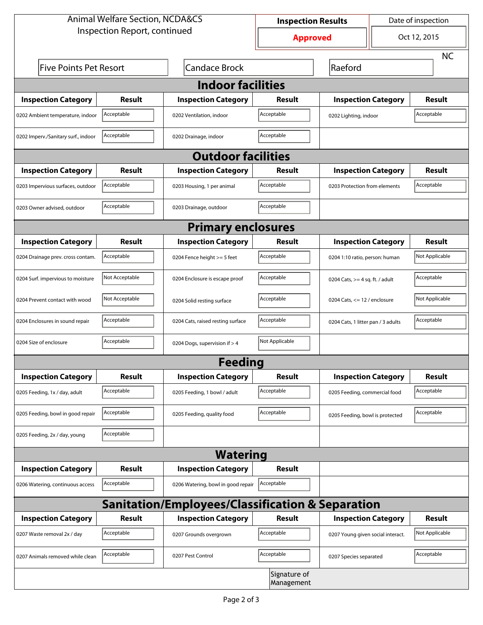| <b>Animal Welfare Section, NCDA&amp;CS</b>                  |                                                       |                                    | <b>Inspection Results</b>  |                                    | Date of inspection         |                |  |  |  |
|-------------------------------------------------------------|-------------------------------------------------------|------------------------------------|----------------------------|------------------------------------|----------------------------|----------------|--|--|--|
| Inspection Report, continued                                |                                                       |                                    | <b>Approved</b>            |                                    | Oct 12, 2015               |                |  |  |  |
|                                                             |                                                       |                                    |                            |                                    |                            | <b>NC</b>      |  |  |  |
|                                                             | <b>Candace Brock</b><br><b>Five Points Pet Resort</b> |                                    |                            | Raeford                            |                            |                |  |  |  |
| <b>Indoor facilities</b>                                    |                                                       |                                    |                            |                                    |                            |                |  |  |  |
| <b>Inspection Category</b>                                  | Result                                                | <b>Inspection Category</b>         | Result                     | <b>Inspection Category</b>         |                            | Result         |  |  |  |
| 0202 Ambient temperature, indoor                            | Acceptable                                            | 0202 Ventilation, indoor           | Acceptable                 |                                    | 0202 Lighting, indoor      |                |  |  |  |
| 0202 Imperv./Sanitary surf., indoor                         | Acceptable                                            | 0202 Drainage, indoor              | Acceptable                 |                                    |                            |                |  |  |  |
| <b>Outdoor facilities</b>                                   |                                                       |                                    |                            |                                    |                            |                |  |  |  |
| <b>Inspection Category</b>                                  | Result<br><b>Inspection Category</b><br>Result        |                                    |                            |                                    | <b>Inspection Category</b> |                |  |  |  |
| 0203 Impervious surfaces, outdoor                           | Acceptable                                            | 0203 Housing, 1 per animal         | Acceptable                 | 0203 Protection from elements      |                            | Acceptable     |  |  |  |
| 0203 Owner advised, outdoor                                 | Acceptable                                            | 0203 Drainage, outdoor             | Acceptable                 |                                    |                            |                |  |  |  |
| <b>Primary enclosures</b>                                   |                                                       |                                    |                            |                                    |                            |                |  |  |  |
| <b>Inspection Category</b>                                  | Result                                                | <b>Inspection Category</b>         | Result                     |                                    | <b>Inspection Category</b> |                |  |  |  |
| 0204 Drainage prev. cross contam.                           | Acceptable                                            | 0204 Fence height >= 5 feet        | Acceptable                 | 0204 1:10 ratio, person: human     |                            | Not Applicable |  |  |  |
| 0204 Surf. impervious to moisture                           | Not Acceptable                                        | 0204 Enclosure is escape proof     | Acceptable                 | 0204 Cats, $>=$ 4 sq. ft. / adult  |                            | Acceptable     |  |  |  |
| 0204 Prevent contact with wood                              | Not Acceptable                                        | 0204 Solid resting surface         | Acceptable                 | 0204 Cats, $<= 12$ / enclosure     |                            | Not Applicable |  |  |  |
| 0204 Enclosures in sound repair                             | Acceptable                                            | 0204 Cats, raised resting surface  | Acceptable                 | 0204 Cats, 1 litter pan / 3 adults |                            | Acceptable     |  |  |  |
| 0204 Size of enclosure                                      | Acceptable                                            | 0204 Dogs, supervision if > 4      | Not Applicable             |                                    |                            |                |  |  |  |
|                                                             |                                                       | <b>Feeding</b>                     |                            |                                    |                            |                |  |  |  |
| <b>Inspection Category</b>                                  | <b>Result</b>                                         | <b>Inspection Category</b>         | Result                     | <b>Inspection Category</b>         |                            | <b>Result</b>  |  |  |  |
| 0205 Feeding, 1x / day, adult                               | Acceptable                                            | 0205 Feeding, 1 bowl / adult       | Acceptable                 | 0205 Feeding, commercial food      |                            | Acceptable     |  |  |  |
| 0205 Feeding, bowl in good repair                           | Acceptable                                            | 0205 Feeding, quality food         | Acceptable                 | 0205 Feeding, bowl is protected    |                            | Acceptable     |  |  |  |
| 0205 Feeding, 2x / day, young                               | Acceptable                                            |                                    |                            |                                    |                            |                |  |  |  |
|                                                             |                                                       | <b>Watering</b>                    |                            |                                    |                            |                |  |  |  |
| <b>Inspection Category</b>                                  | <b>Result</b>                                         | <b>Inspection Category</b>         | Result                     |                                    |                            |                |  |  |  |
| 0206 Watering, continuous access                            | Acceptable                                            | 0206 Watering, bowl in good repair | Acceptable                 |                                    |                            |                |  |  |  |
| <b>Sanitation/Employees/Classification &amp; Separation</b> |                                                       |                                    |                            |                                    |                            |                |  |  |  |
| <b>Inspection Category</b>                                  | <b>Result</b>                                         | <b>Inspection Category</b>         | Result                     | <b>Inspection Category</b>         |                            | <b>Result</b>  |  |  |  |
| 0207 Waste removal 2x / day                                 | Acceptable                                            | 0207 Grounds overgrown             | Acceptable                 | 0207 Young given social interact.  |                            | Not Applicable |  |  |  |
| 0207 Animals removed while clean                            | Acceptable<br>0207 Pest Control                       |                                    | Acceptable                 | 0207 Species separated             |                            | Acceptable     |  |  |  |
|                                                             |                                                       |                                    | Signature of<br>Management |                                    |                            |                |  |  |  |